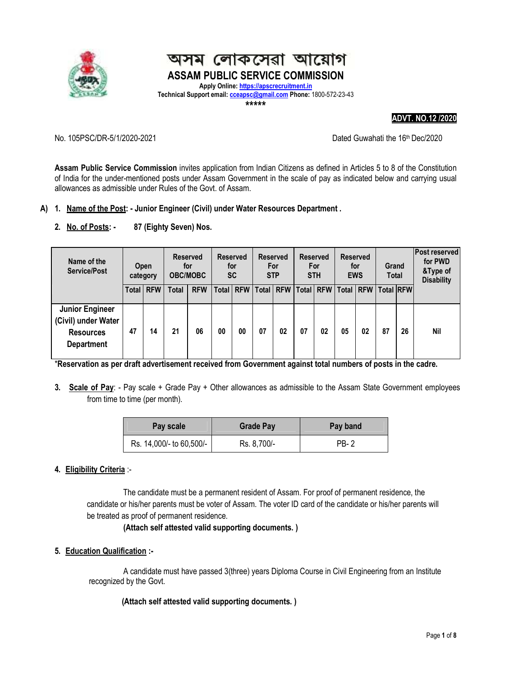

# অসম লোকসেৱা আয়োগ **ASSAM PUBLIC SERVICE COMMISSION Apply Online: https://apscrecruitment.in**

Technical Support email: **cceapsc@gmail.com** Phone: 1800-572-23-43

**\*\*\*\*\***

#### **ADVT. NO.12 /2020**

#### No. 105PSC/DR-5/1/2020-2021 Dated Guwahati the 16th Dec/2020

**Assam Public Service Commission** invites application from Indian Citizens as defined in Articles 5 to 8 of the Constitution of India for the under-mentioned posts under Assam Government in the scale of pay as indicated below and carrying usual allowances as admissible under Rules of the Govt. of Assam.

## **A) 1. Name of the Post: - Junior Engineer (Civil) under Water Resources Department .**

**2. No. of Posts: - 87 (Eighty Seven) Nos.** 

| Name of the<br><b>Service/Post</b>                                                     | Open<br>category |                  | <b>Reserved</b><br>for<br><b>OBC/MOBC</b> |            | <b>Reserved</b><br>for<br><b>SC</b> |    | <b>Reserved</b><br>For<br><b>STP</b> |            | <b>Reserved</b><br>For<br><b>STH</b> |                  | <b>Reserved</b><br>for<br><b>EWS</b> |            | Grand<br><b>Total</b> |    | <b>Post reserved</b><br>for PWD<br>&Type of<br><b>Disability</b> |
|----------------------------------------------------------------------------------------|------------------|------------------|-------------------------------------------|------------|-------------------------------------|----|--------------------------------------|------------|--------------------------------------|------------------|--------------------------------------|------------|-----------------------|----|------------------------------------------------------------------|
|                                                                                        |                  | <b>Total RFW</b> | <b>Total</b>                              | <b>RFW</b> | Total RFW                           |    | <b>Total</b>                         | <b>RFW</b> |                                      | <b>Total RFW</b> | <b>Total</b>                         | <b>RFW</b> | <b>Total RFW</b>      |    |                                                                  |
| <b>Junior Engineer</b><br>(Civil) under Water<br><b>Resources</b><br><b>Department</b> | 47               | 14               | 21                                        | 06         | 00                                  | 00 | 07                                   | 02         | 07                                   | 02               | 05                                   | 02         | 87                    | 26 | <b>Nil</b>                                                       |

\***Reservation as per draft advertisement received from Government against total numbers of posts in the cadre.** 

**3. Scale of Pay**: - Pay scale + Grade Pay + Other allowances as admissible to the Assam State Government employees from time to time (per month).

| Pay scale                | <b>Grade Pay</b> | Pay band |  |  |  |
|--------------------------|------------------|----------|--|--|--|
| Rs. 14,000/- to 60,500/- | Rs. 8,700/-      | PB-2     |  |  |  |

## **4. Eligibility Criteria** :-

 The candidate must be a permanent resident of Assam. For proof of permanent residence, the candidate or his/her parents must be voter of Assam. The voter ID card of the candidate or his/her parents will be treated as proof of permanent residence.

### **(Attach self attested valid supporting documents. )**

**5. Education Qualification :-** 

A candidate must have passed 3(three) years Diploma Course in Civil Engineering from an Institute recognized by the Govt.

 **(Attach self attested valid supporting documents. )**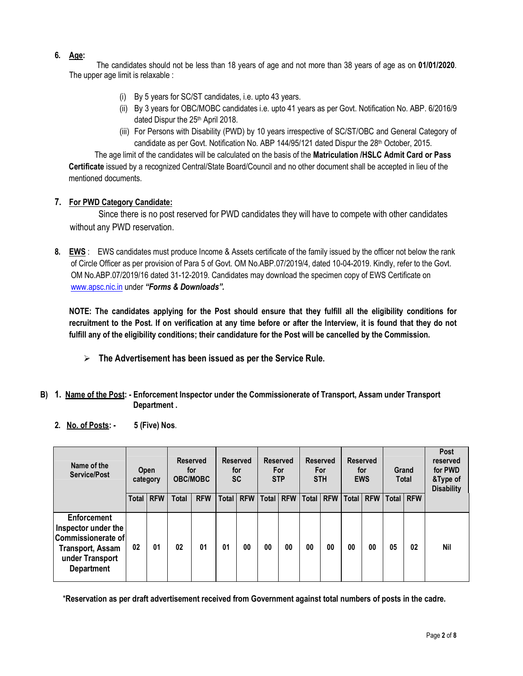## **6. Age:**

 The candidates should not be less than 18 years of age and not more than 38 years of age as on **01/01/2020**. The upper age limit is relaxable :

- (i) By 5 years for SC/ST candidates, i.e. upto 43 years.
- (ii) By 3 years for OBC/MOBC candidates i.e. upto 41 years as per Govt. Notification No. ABP. 6/2016/9 dated Dispur the 25th April 2018.
- (iii) For Persons with Disability (PWD) by 10 years irrespective of SC/ST/OBC and General Category of candidate as per Govt. Notification No. ABP 144/95/121 dated Dispur the  $28<sup>th</sup>$  October, 2015.

The age limit of the candidates will be calculated on the basis of the **Matriculation /HSLC Admit Card or Pass Certificate** issued by a recognized Central/State Board/Council and no other document shall be accepted in lieu of the mentioned documents.

## **7. For PWD Category Candidate:**

Since there is no post reserved for PWD candidates they will have to compete with other candidates without any PWD reservation.

**8. EWS** : EWS candidates must produce Income & Assets certificate of the family issued by the officer not below the rank of Circle Officer as per provision of Para 5 of Govt. OM No.ABP.07/2019/4, dated 10-04-2019. Kindly, refer to the Govt. OM No.ABP.07/2019/16 dated 31-12-2019. Candidates may download the specimen copy of EWS Certificate on www.apsc.nic.in under *"Forms & Downloads".*

**NOTE: The candidates applying for the Post should ensure that they fulfill all the eligibility conditions for recruitment to the Post. If on verification at any time before or after the Interview, it is found that they do not fulfill any of the eligibility conditions; their candidature for the Post will be cancelled by the Commission.** 

- **The Advertisement has been issued as per the Service Rule.**
- **B) 1. Name of the Post: Enforcement Inspector under the Commissionerate of Transport, Assam under Transport Department .**
	- **2. No. of Posts: 5 (Five) Nos**.

| Name of the<br>Service/Post                                                                                                 | Open<br>category |            | Reserved<br>for<br><b>OBC/MOBC</b> |            | <b>Reserved</b><br>for<br><b>SC</b> |            | <b>Reserved</b><br>For<br><b>STP</b> |            | <b>Reserved</b><br>For<br><b>STH</b> |            | <b>Reserved</b><br>for<br><b>EWS</b> |             | Grand<br><b>Total</b> |           | Post<br>reserved<br>for PWD<br>&Type of<br><b>Disability</b> |
|-----------------------------------------------------------------------------------------------------------------------------|------------------|------------|------------------------------------|------------|-------------------------------------|------------|--------------------------------------|------------|--------------------------------------|------------|--------------------------------------|-------------|-----------------------|-----------|--------------------------------------------------------------|
|                                                                                                                             | <b>Total</b>     | <b>RFW</b> | <b>Total</b>                       | <b>RFW</b> | <b>Total</b>                        | <b>RFW</b> | Total                                | <b>RFW</b> | <b>Total</b>                         | <b>RFW</b> |                                      | Total   RFW |                       | Total RFW |                                                              |
| Enforcement<br>Inspector under the<br>Commissionerate of<br><b>Transport, Assam</b><br>under Transport<br><b>Department</b> | 02               | 01         | 02                                 | 01         | 01                                  | 00         | 00                                   | 00         | 00                                   | 00         | 00                                   | 00          | 05                    | 02        | <b>Nil</b>                                                   |

\***Reservation as per draft advertisement received from Government against total numbers of posts in the cadre.**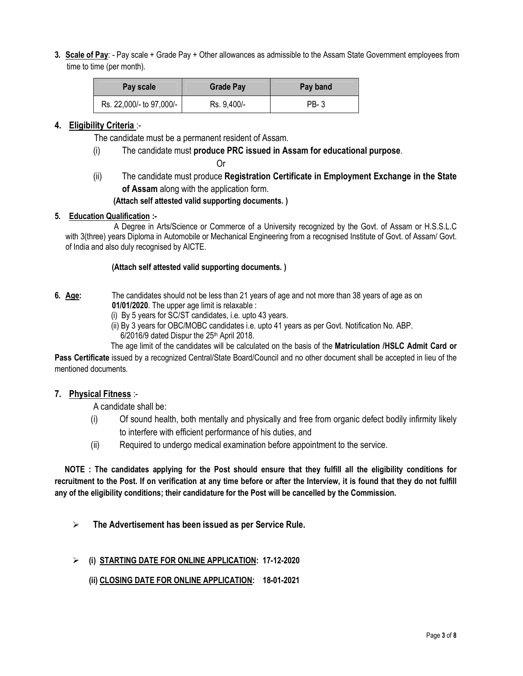**3. Scale of Pay**: - Pay scale + Grade Pay + Other allowances as admissible to the Assam State Government employees from time to time (per month).

| Pay scale                | <b>Grade Pay</b> | Pay band |  |  |  |
|--------------------------|------------------|----------|--|--|--|
| Rs. 22,000/- to 97,000/- | Rs. 9,400/-      | PB-3     |  |  |  |

### **4. Eligibility Criteria** :-

The candidate must be a permanent resident of Assam.

(i) The candidate must **produce PRC issued in Assam for educational purpose**.

**Contract Contract Contract Contract Contract Contract Contract Contract Contract Contract Contract Contract Co** 

(ii) The candidate must produce **Registration Certificate in Employment Exchange in the State of Assam** along with the application form.

#### **(Attach self attested valid supporting documents. )**

### **5. Education Qualification :-**

 A Degree in Arts/Science or Commerce of a University recognized by the Govt. of Assam or H.S.S.L.C with 3(three) years Diploma in Automobile or Mechanical Engineering from a recognised Institute of Govt. of Assam/ Govt. of India and also duly recognised by AICTE.

#### **(Attach self attested valid supporting documents. )**

- **6. Age:** The candidates should not be less than 21 years of age and not more than 38 years of age as on  **01/01/2020**. The upper age limit is relaxable :
	- (i) By 5 years for SC/ST candidates, i.e. upto 43 years.
	- (ii) By 3 years for OBC/MOBC candidates i.e. upto 41 years as per Govt. Notification No. ABP.  $6/2016/9$  dated Dispur the  $25<sup>th</sup>$  April 2018.

 The age limit of the candidates will be calculated on the basis of the **Matriculation /HSLC Admit Card or Pass Certificate** issued by a recognized Central/State Board/Council and no other document shall be accepted in lieu of the mentioned documents.

### **7. Physical Fitness** :-

A candidate shall be:

- (i) Of sound health, both mentally and physically and free from organic defect bodily infirmity likely to interfere with efficient performance of his duties, and
- (ii) Required to undergo medical examination before appointment to the service.

 **NOTE : The candidates applying for the Post should ensure that they fulfill all the eligibility conditions for recruitment to the Post. If on verification at any time before or after the Interview, it is found that they do not fulfill any of the eligibility conditions; their candidature for the Post will be cancelled by the Commission.** 

 **The Advertisement has been issued as per Service Rule.**

### **(i) STARTING DATE FOR ONLINE APPLICATION: 17-12-2020**

### **(ii) CLOSING DATE FOR ONLINE APPLICATION: 18-01-2021**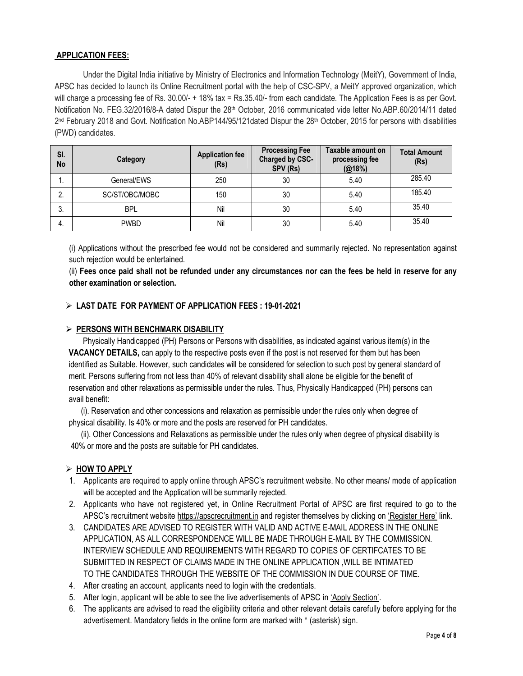#### **APPLICATION FEES:**

Under the Digital India initiative by Ministry of Electronics and Information Technology (MeitY), Government of India, APSC has decided to launch its Online Recruitment portal with the help of CSC-SPV, a MeitY approved organization, which will charge a processing fee of Rs.  $30.00/ - + 18\%$  tax = Rs. $35.40/ -$  from each candidate. The Application Fees is as per Govt. Notification No. FEG.32/2016/8-A dated Dispur the 28<sup>th</sup> October, 2016 communicated vide letter No.ABP.60/2014/11 dated 2<sup>nd</sup> February 2018 and Govt. Notification No.ABP144/95/121dated Dispur the 28<sup>th</sup> October, 2015 for persons with disabilities (PWD) candidates.

| SI.<br>No | Category       | <b>Application fee</b><br>(Rs) | <b>Processing Fee</b><br>Charged by CSC-<br>SPV (Rs) | Taxable amount on<br>processing fee<br>(@18%) | <b>Total Amount</b><br>(Rs) |
|-----------|----------------|--------------------------------|------------------------------------------------------|-----------------------------------------------|-----------------------------|
| .,        | General/EWS    | 250                            | 30                                                   | 5.40                                          | 285.40                      |
| 2.        | SC/ST/OBC/MOBC | 150                            | 30                                                   | 5.40                                          | 185.40                      |
| 3.        | <b>BPL</b>     | Nil                            | 30                                                   | 5.40                                          | 35.40                       |
| 4.        | <b>PWBD</b>    | Nil                            | 30                                                   | 5.40                                          | 35.40                       |

(i) Applications without the prescribed fee would not be considered and summarily rejected. No representation against such rejection would be entertained.

(ii) **Fees once paid shall not be refunded under any circumstances nor can the fees be held in reserve for any other examination or selection.** 

### **LAST DATE FOR PAYMENT OF APPLICATION FEES : 19-01-2021**

#### **PERSONS WITH BENCHMARK DISABILITY**

 Physically Handicapped (PH) Persons or Persons with disabilities, as indicated against various item(s) in the **VACANCY DETAILS,** can apply to the respective posts even if the post is not reserved for them but has been identified as Suitable. However, such candidates will be considered for selection to such post by general standard of merit. Persons suffering from not less than 40% of relevant disability shall alone be eligible for the benefit of reservation and other relaxations as permissible under the rules. Thus, Physically Handicapped (PH) persons can avail benefit:

 (i). Reservation and other concessions and relaxation as permissible under the rules only when degree of physical disability. Is 40% or more and the posts are reserved for PH candidates.

 (ii). Other Concessions and Relaxations as permissible under the rules only when degree of physical disability is 40% or more and the posts are suitable for PH candidates.

### **HOW TO APPLY**

- 1. Applicants are required to apply online through APSC's recruitment website. No other means/ mode of application will be accepted and the Application will be summarily rejected.
- 2. Applicants who have not registered yet, in Online Recruitment Portal of APSC are first required to go to the APSC's recruitment website https://apscrecruitment.in and register themselves by clicking on 'Register Here' link.
- 3. CANDIDATES ARE ADVISED TO REGISTER WITH VALID AND ACTIVE E-MAIL ADDRESS IN THE ONLINE APPLICATION, AS ALL CORRESPONDENCE WILL BE MADE THROUGH E-MAIL BY THE COMMISSION. INTERVIEW SCHEDULE AND REQUIREMENTS WITH REGARD TO COPIES OF CERTIFCATES TO BE SUBMITTED IN RESPECT OF CLAIMS MADE IN THE ONLINE APPLICATION ,WILL BE INTIMATED TO THE CANDIDATES THROUGH THE WEBSITE OF THE COMMISSION IN DUE COURSE OF TIME.
- 4. After creating an account, applicants need to login with the credentials.
- 5. After login, applicant will be able to see the live advertisements of APSC in 'Apply Section'.
- 6. The applicants are advised to read the eligibility criteria and other relevant details carefully before applying for the advertisement. Mandatory fields in the online form are marked with \* (asterisk) sign.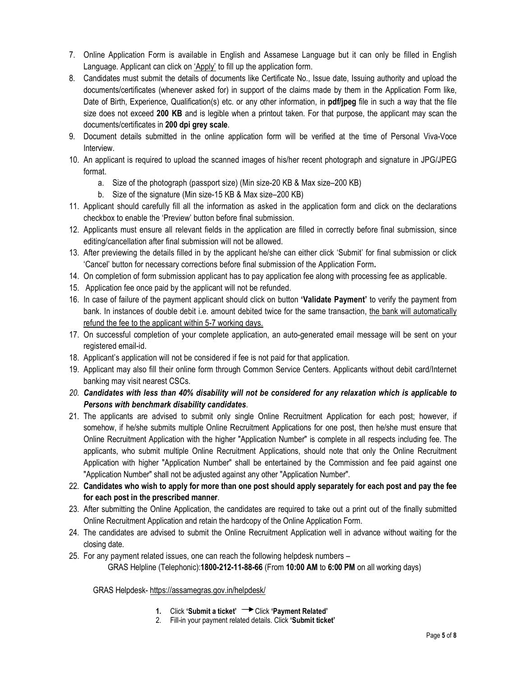- 7. Online Application Form is available in English and Assamese Language but it can only be filled in English Language. Applicant can click on 'Apply' to fill up the application form.
- 8. Candidates must submit the details of documents like Certificate No., Issue date, Issuing authority and upload the documents/certificates (whenever asked for) in support of the claims made by them in the Application Form like, Date of Birth, Experience, Qualification(s) etc. or any other information, in **pdf/jpeg** file in such a way that the file size does not exceed **200 KB** and is legible when a printout taken. For that purpose, the applicant may scan the documents/certificates in **200 dpi grey scale**.
- 9. Document details submitted in the online application form will be verified at the time of Personal Viva-Voce Interview.
- 10. An applicant is required to upload the scanned images of his/her recent photograph and signature in JPG/JPEG format.
	- a. Size of the photograph (passport size) (Min size-20 KB & Max size–200 KB)
	- b. Size of the signature (Min size-15 KB & Max size–200 KB)
- 11. Applicant should carefully fill all the information as asked in the application form and click on the declarations checkbox to enable the 'Preview' button before final submission.
- 12. Applicants must ensure all relevant fields in the application are filled in correctly before final submission, since editing/cancellation after final submission will not be allowed.
- 13. After previewing the details filled in by the applicant he/she can either click 'Submit' for final submission or click 'Cancel' button for necessary corrections before final submission of the Application Form**.**
- 14. On completion of form submission applicant has to pay application fee along with processing fee as applicable.
- 15. Application fee once paid by the applicant will not be refunded.
- 16. In case of failure of the payment applicant should click on button **'Validate Payment'** to verify the payment from bank. In instances of double debit i.e. amount debited twice for the same transaction, the bank will automatically refund the fee to the applicant within 5-7 working days.
- 17. On successful completion of your complete application, an auto-generated email message will be sent on your registered email-id.
- 18. Applicant's application will not be considered if fee is not paid for that application.
- 19. Applicant may also fill their online form through Common Service Centers. Applicants without debit card/Internet banking may visit nearest CSCs.
- *20. Candidates with less than 40% disability will not be considered for any relaxation which is applicable to Persons with benchmark disability candidates*.
- 21. The applicants are advised to submit only single Online Recruitment Application for each post; however, if somehow, if he/she submits multiple Online Recruitment Applications for one post, then he/she must ensure that Online Recruitment Application with the higher "Application Number" is complete in all respects including fee. The applicants, who submit multiple Online Recruitment Applications, should note that only the Online Recruitment Application with higher "Application Number" shall be entertained by the Commission and fee paid against one "Application Number" shall not be adjusted against any other "Application Number".
- 22. **Candidates who wish to apply for more than one post should apply separately for each post and pay the fee for each post in the prescribed manner**.
- 23. After submitting the Online Application, the candidates are required to take out a print out of the finally submitted Online Recruitment Application and retain the hardcopy of the Online Application Form.
- 24. The candidates are advised to submit the Online Recruitment Application well in advance without waiting for the closing date.
- 25. For any payment related issues, one can reach the following helpdesk numbers GRAS Helpline (Telephonic):**1800-212-11-88-66** (From **10:00 AM** to **6:00 PM** on all working days)

#### GRAS Helpdesk- https://assamegras.gov.in/helpdesk/

- **1.** Click **'Submit a ticket'** Click **'Payment Related'**
- 2. Fill-in your payment related details. Click **'Submit ticket'**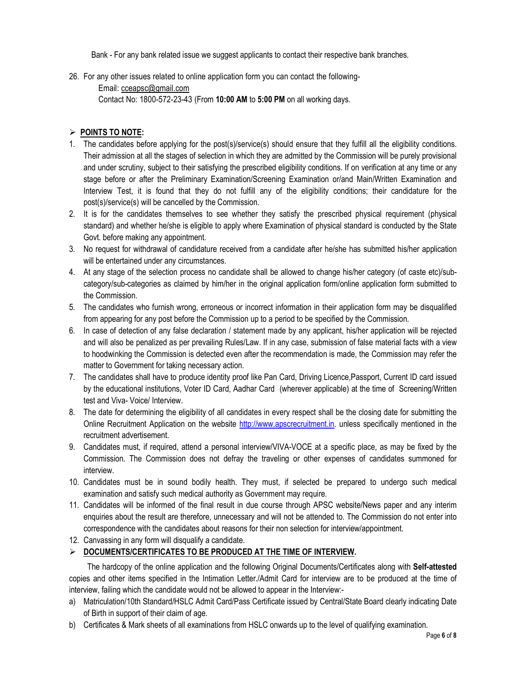Bank - For any bank related issue we suggest applicants to contact their respective bank branches.

- 26. For any other issues related to online application form you can contact the following-
	- Email: cceapsc@gmail.com Contact No: 1800-572-23-43 (From **10:00 AM** to **5:00 PM** on all working days.

#### **POINTS TO NOTE:**

- 1. The candidates before applying for the post(s)/service(s) should ensure that they fulfill all the eligibility conditions. Their admission at all the stages of selection in which they are admitted by the Commission will be purely provisional and under scrutiny, subject to their satisfying the prescribed eligibility conditions. If on verification at any time or any stage before or after the Preliminary Examination/Screening Examination or/and Main/Written Examination and Interview Test, it is found that they do not fulfill any of the eligibility conditions; their candidature for the post(s)/service(s) will be cancelled by the Commission.
- 2. It is for the candidates themselves to see whether they satisfy the prescribed physical requirement (physical standard) and whether he/she is eligible to apply where Examination of physical standard is conducted by the State Govt. before making any appointment.
- 3. No request for withdrawal of candidature received from a candidate after he/she has submitted his/her application will be entertained under any circumstances.
- 4. At any stage of the selection process no candidate shall be allowed to change his/her category (of caste etc)/subcategory/sub-categories as claimed by him/her in the original application form/online application form submitted to the Commission.
- 5. The candidates who furnish wrong, erroneous or incorrect information in their application form may be disqualified from appearing for any post before the Commission up to a period to be specified by the Commission.
- 6. In case of detection of any false declaration / statement made by any applicant, his/her application will be rejected and will also be penalized as per prevailing Rules/Law. If in any case, submission of false material facts with a view to hoodwinking the Commission is detected even after the recommendation is made, the Commission may refer the matter to Government for taking necessary action.
- 7. The candidates shall have to produce identity proof like Pan Card, Driving Licence,Passport, Current ID card issued by the educational institutions, Voter ID Card, Aadhar Card (wherever applicable) at the time of Screening/Written test and Viva- Voice/ Interview.
- 8. The date for determining the eligibility of all candidates in every respect shall be the closing date for submitting the Online Recruitment Application on the website http://www.apscrecruitment.in. unless specifically mentioned in the recruitment advertisement.
- 9. Candidates must, if required, attend a personal interview/VIVA-VOCE at a specific place, as may be fixed by the Commission. The Commission does not defray the traveling or other expenses of candidates summoned for interview.
- 10. Candidates must be in sound bodily health. They must, if selected be prepared to undergo such medical examination and satisfy such medical authority as Government may require.
- 11. Candidates will be informed of the final result in due course through APSC website/News paper and any interim enquiries about the result are therefore, unnecessary and will not be attended to. The Commission do not enter into correspondence with the candidates about reasons for their non selection for interview/appointment.
- 12. Canvassing in any form will disqualify a candidate.

### **DOCUMENTS/CERTIFICATES TO BE PRODUCED AT THE TIME OF INTERVIEW.**

 The hardcopy of the online application and the following Original Documents/Certificates along with **Self-attested** copies and other items specified in the Intimation Letter./Admit Card for interview are to be produced at the time of interview, failing which the candidate would not be allowed to appear in the Interview:-

- a) Matriculation/10th Standard/HSLC Admit Card/Pass Certificate issued by Central/State Board clearly indicating Date of Birth in support of their claim of age.
- b) Certificates & Mark sheets of all examinations from HSLC onwards up to the level of qualifying examination.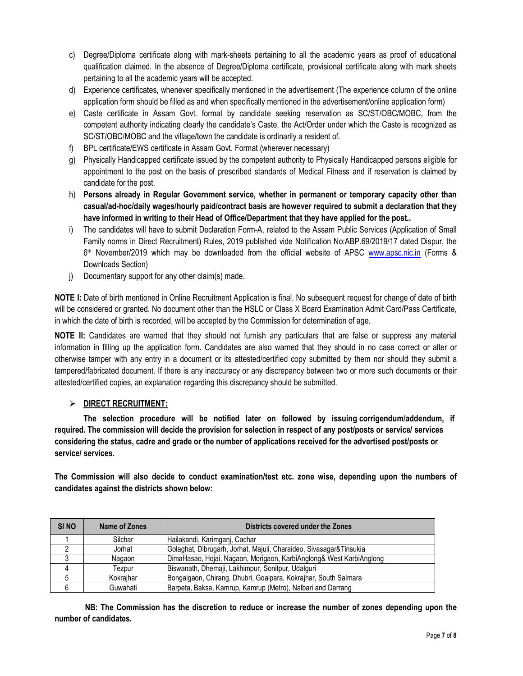- c) Degree/Diploma certificate along with mark-sheets pertaining to all the academic years as proof of educational qualification claimed. In the absence of Degree/Diploma certificate, provisional certificate along with mark sheets pertaining to all the academic years will be accepted.
- d) Experience certificates, whenever specifically mentioned in the advertisement (The experience column of the online application form should be filled as and when specifically mentioned in the advertisement/online application form)
- e) Caste certificate in Assam Govt. format by candidate seeking reservation as SC/ST/OBC/MOBC, from the competent authority indicating clearly the candidate's Caste, the Act/Order under which the Caste is recognized as SC/ST/OBC/MOBC and the village/town the candidate is ordinarily a resident of.
- f) BPL certificate/EWS certificate in Assam Govt. Format (wherever necessary)
- g) Physically Handicapped certificate issued by the competent authority to Physically Handicapped persons eligible for appointment to the post on the basis of prescribed standards of Medical Fitness and if reservation is claimed by candidate for the post.
- h) **Persons already in Regular Government service, whether in permanent or temporary capacity other than casual/ad-hoc/daily wages/hourly paid/contract basis are however required to submit a declaration that they have informed in writing to their Head of Office/Department that they have applied for the post..**
- i) The candidates will have to submit Declaration Form-A, related to the Assam Public Services (Application of Small Family norms in Direct Recruitment) Rules, 2019 published vide Notification No:ABP.69/2019/17 dated Dispur, the 6<sup>th</sup> November/2019 which may be downloaded from the official website of APSC www.apsc.nic.in (Forms & Downloads Section)
- j) Documentary support for any other claim(s) made.

**NOTE I:** Date of birth mentioned in Online Recruitment Application is final. No subsequent request for change of date of birth will be considered or granted. No document other than the HSLC or Class X Board Examination Admit Card/Pass Certificate, in which the date of birth is recorded, will be accepted by the Commission for determination of age.

**NOTE II:** Candidates are warned that they should not furnish any particulars that are false or suppress any material information in filling up the application form. Candidates are also warned that they should in no case correct or alter or otherwise tamper with any entry in a document or its attested/certified copy submitted by them nor should they submit a tampered/fabricated document. If there is any inaccuracy or any discrepancy between two or more such documents or their attested/certified copies, an explanation regarding this discrepancy should be submitted.

## **DIRECT RECRUITMENT:**

**The selection procedure will be notified later on followed by issuing corrigendum/addendum, if required. The commission will decide the provision for selection in respect of any post/posts or service/ services considering the status, cadre and grade or the number of applications received for the advertised post/posts or service/ services.** 

**The Commission will also decide to conduct examination/test etc. zone wise, depending upon the numbers of candidates against the districts shown below:** 

| SI <sub>NO</sub> | Districts covered under the Zones<br>Name of Zones |                                                                     |  |  |
|------------------|----------------------------------------------------|---------------------------------------------------------------------|--|--|
|                  | Silchar                                            | Hailakandi, Karimgani, Cachar                                       |  |  |
|                  | Jorhat                                             | Golaghat, Dibrugarh, Jorhat, Majuli, Charaideo, Sivasagar&Tinsukia  |  |  |
|                  | Nagaon                                             | DimaHasao, Hojai, Nagaon, Morigaon, KarbiAnglong& West KarbiAnglong |  |  |
|                  | Tezpur                                             | Biswanath, Dhemaji, Lakhimpur, Sonitpur, Udalguri                   |  |  |
|                  | Kokraihar                                          | Bongaigaon, Chirang, Dhubri, Goalpara, Kokrajhar, South Salmara     |  |  |
|                  | Guwahati                                           | Barpeta, Baksa, Kamrup, Kamrup (Metro), Nalbari and Darrang         |  |  |

 **NB: The Commission has the discretion to reduce or increase the number of zones depending upon the number of candidates.**